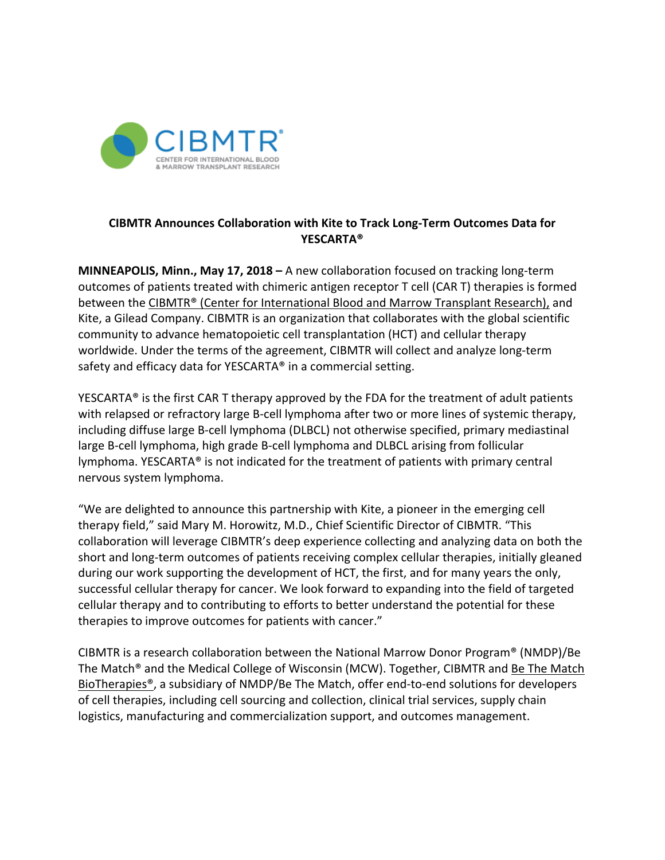

## **CIBMTR Announces Collaboration with Kite to Track Long-Term Outcomes Data for YESCARTA®**

**MINNEAPOLIS, Minn., May 17, 2018 –** A new collaboration focused on tracking long-term outcomes of patients treated with chimeric antigen receptor T cell (CAR T) therapies is formed between the CIBMTR® [\(Center for International Blood and](https://www.cibmtr.org/) Marrow Transplant Research), and Kite, a Gilead Company. CIBMTR is an organization that collaborates with the global scientific community to advance hematopoietic cell transplantation (HCT) and cellular therapy worldwide. Under the terms of the agreement, CIBMTR will collect and analyze long-term safety and efficacy data for YESCARTA® in a commercial setting.

YESCARTA® is the first CAR T therapy approved by the FDA for the treatment of adult patients with relapsed or refractory large B-cell lymphoma after two or more lines of systemic therapy, including diffuse large B-cell lymphoma (DLBCL) not otherwise specified, primary mediastinal large B-cell lymphoma, high grade B-cell lymphoma and DLBCL arising from follicular lymphoma. YESCARTA® is not indicated for the treatment of patients with primary central nervous system lymphoma.

"We are delighted to announce this partnership with Kite, a pioneer in the emerging cell therapy field," said Mary M. Horowitz, M.D., Chief Scientific Director of CIBMTR. "This collaboration will leverage CIBMTR's deep experience collecting and analyzing data on both the short and long-term outcomes of patients receiving complex cellular therapies, initially gleaned during our work supporting the development of HCT, the first, and for many years the only, successful cellular therapy for cancer. We look forward to expanding into the field of targeted cellular therapy and to contributing to efforts to better understand the potential for these therapies to improve outcomes for patients with cancer."

CIBMTR is a research collaboration between the National Marrow Donor Program® (NMDP)/Be The Match<sup>®</sup> and the Medical College of Wisconsin (MCW). Together, CIBMTR and Be The Match [BioTherapies®,](https://bethematchbiotherapies.com/?utm_source=cibmtr_pr&utm_medium=press_release) a subsidiary of NMDP/Be The Match, offer end-to-end solutions for developers of cell therapies, including cell sourcing and collection, clinical trial services, supply chain logistics, manufacturing and commercialization support, and outcomes management.